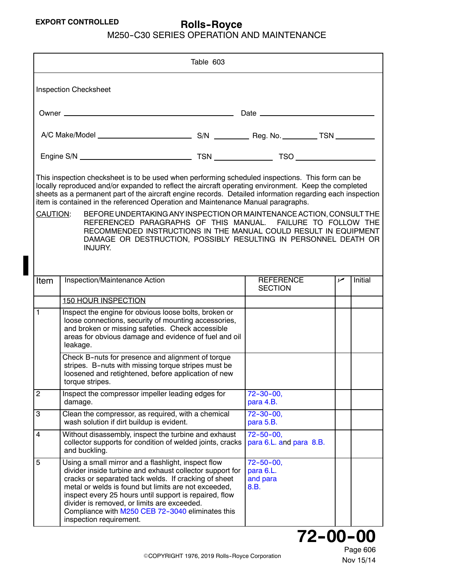<span id="page-0-0"></span>

|                                                                                                                                                                                                                                                                                                                                                                                                                                                                                                                                                                                                                                                                                                                       | Table 603                                                                                                                                                                                                                                                                                                                                                                                                               |  |                                                   |     |         |  |  |
|-----------------------------------------------------------------------------------------------------------------------------------------------------------------------------------------------------------------------------------------------------------------------------------------------------------------------------------------------------------------------------------------------------------------------------------------------------------------------------------------------------------------------------------------------------------------------------------------------------------------------------------------------------------------------------------------------------------------------|-------------------------------------------------------------------------------------------------------------------------------------------------------------------------------------------------------------------------------------------------------------------------------------------------------------------------------------------------------------------------------------------------------------------------|--|---------------------------------------------------|-----|---------|--|--|
| <b>Inspection Checksheet</b>                                                                                                                                                                                                                                                                                                                                                                                                                                                                                                                                                                                                                                                                                          |                                                                                                                                                                                                                                                                                                                                                                                                                         |  |                                                   |     |         |  |  |
|                                                                                                                                                                                                                                                                                                                                                                                                                                                                                                                                                                                                                                                                                                                       |                                                                                                                                                                                                                                                                                                                                                                                                                         |  |                                                   |     |         |  |  |
|                                                                                                                                                                                                                                                                                                                                                                                                                                                                                                                                                                                                                                                                                                                       |                                                                                                                                                                                                                                                                                                                                                                                                                         |  |                                                   |     |         |  |  |
|                                                                                                                                                                                                                                                                                                                                                                                                                                                                                                                                                                                                                                                                                                                       |                                                                                                                                                                                                                                                                                                                                                                                                                         |  |                                                   |     |         |  |  |
| This inspection checksheet is to be used when performing scheduled inspections. This form can be<br>locally reproduced and/or expanded to reflect the aircraft operating environment. Keep the completed<br>sheets as a permanent part of the aircraft engine records. Detailed information regarding each inspection<br>item is contained in the referenced Operation and Maintenance Manual paragraphs.<br>CAUTION:<br>BEFORE UNDERTAKING ANY INSPECTION OR MAINTENANCE ACTION, CONSULT THE<br>REFERENCED PARAGRAPHS OF THIS MANUAL. FAILURE TO FOLLOW THE<br>RECOMMENDED INSTRUCTIONS IN THE MANUAL COULD RESULT IN EQUIPMENT<br>DAMAGE OR DESTRUCTION, POSSIBLY RESULTING IN PERSONNEL DEATH OR<br><b>INJURY.</b> |                                                                                                                                                                                                                                                                                                                                                                                                                         |  |                                                   |     |         |  |  |
| Item                                                                                                                                                                                                                                                                                                                                                                                                                                                                                                                                                                                                                                                                                                                  | Inspection/Maintenance Action                                                                                                                                                                                                                                                                                                                                                                                           |  | <b>REFERENCE</b><br><b>SECTION</b>                | مما | Initial |  |  |
|                                                                                                                                                                                                                                                                                                                                                                                                                                                                                                                                                                                                                                                                                                                       | <b>150 HOUR INSPECTION</b>                                                                                                                                                                                                                                                                                                                                                                                              |  |                                                   |     |         |  |  |
| 1                                                                                                                                                                                                                                                                                                                                                                                                                                                                                                                                                                                                                                                                                                                     | Inspect the engine for obvious loose bolts, broken or<br>loose connections, security of mounting accessories,<br>and broken or missing safeties. Check accessible<br>areas for obvious damage and evidence of fuel and oil<br>leakage.                                                                                                                                                                                  |  |                                                   |     |         |  |  |
|                                                                                                                                                                                                                                                                                                                                                                                                                                                                                                                                                                                                                                                                                                                       | Check B-nuts for presence and alignment of torque<br>stripes. B-nuts with missing torque stripes must be<br>loosened and retightened, before application of new<br>torque stripes.                                                                                                                                                                                                                                      |  |                                                   |     |         |  |  |
| $\overline{c}$                                                                                                                                                                                                                                                                                                                                                                                                                                                                                                                                                                                                                                                                                                        | Inspect the compressor impeller leading edges for<br>damage.                                                                                                                                                                                                                                                                                                                                                            |  | $72 - 30 - 00$ ,<br>para 4.B.                     |     |         |  |  |
| 3                                                                                                                                                                                                                                                                                                                                                                                                                                                                                                                                                                                                                                                                                                                     | Clean the compressor, as required, with a chemical<br>wash solution if dirt buildup is evident.                                                                                                                                                                                                                                                                                                                         |  | $72 - 30 - 00$ ,<br>para 5.B.                     |     |         |  |  |
| 4                                                                                                                                                                                                                                                                                                                                                                                                                                                                                                                                                                                                                                                                                                                     | Without disassembly, inspect the turbine and exhaust<br>collector supports for condition of welded joints, cracks<br>and buckling.                                                                                                                                                                                                                                                                                      |  | $72 - 50 - 00$ ,<br>para 6.L. and para 8.B.       |     |         |  |  |
| 5                                                                                                                                                                                                                                                                                                                                                                                                                                                                                                                                                                                                                                                                                                                     | Using a small mirror and a flashlight, inspect flow<br>divider inside turbine and exhaust collector support for<br>cracks or separated tack welds. If cracking of sheet<br>metal or welds is found but limits are not exceeded,<br>inspect every 25 hours until support is repaired, flow<br>divider is removed, or limits are exceeded.<br>Compliance with M250 CEB 72-3040 eliminates this<br>inspection requirement. |  | $72 - 50 - 00$ ,<br>para 6.L.<br>and para<br>8.B. |     |         |  |  |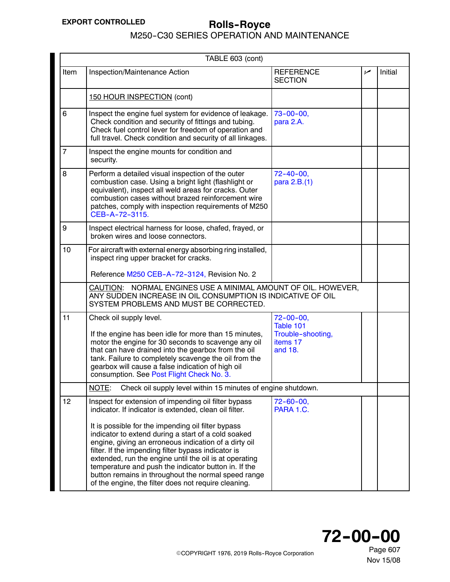M250-C30 SERIES OPERATION AND MAINTENANCE

<span id="page-1-0"></span>

| TABLE 603 (cont) |                                                                                                                                                                                                                                                                                                                                                                                                                                                                                                                                                                              |                                                                           |     |         |
|------------------|------------------------------------------------------------------------------------------------------------------------------------------------------------------------------------------------------------------------------------------------------------------------------------------------------------------------------------------------------------------------------------------------------------------------------------------------------------------------------------------------------------------------------------------------------------------------------|---------------------------------------------------------------------------|-----|---------|
| Item             | Inspection/Maintenance Action                                                                                                                                                                                                                                                                                                                                                                                                                                                                                                                                                | <b>REFERENCE</b><br><b>SECTION</b>                                        | مما | Initial |
|                  | 150 HOUR INSPECTION (cont)                                                                                                                                                                                                                                                                                                                                                                                                                                                                                                                                                   |                                                                           |     |         |
| 6                | Inspect the engine fuel system for evidence of leakage.<br>Check condition and security of fittings and tubing.<br>Check fuel control lever for freedom of operation and<br>full travel. Check condition and security of all linkages.                                                                                                                                                                                                                                                                                                                                       | $73 - 00 - 00,$<br>para 2.A.                                              |     |         |
| 7                | Inspect the engine mounts for condition and<br>security.                                                                                                                                                                                                                                                                                                                                                                                                                                                                                                                     |                                                                           |     |         |
| 8                | Perform a detailed visual inspection of the outer<br>combustion case. Using a bright light (flashlight or<br>equivalent), inspect all weld areas for cracks. Outer<br>combustion cases without brazed reinforcement wire<br>patches, comply with inspection requirements of M250<br>CEB-A-72-3115.                                                                                                                                                                                                                                                                           | $72 - 40 - 00$ ,<br>para 2.B.(1)                                          |     |         |
| 9                | Inspect electrical harness for loose, chafed, frayed, or<br>broken wires and loose connectors.                                                                                                                                                                                                                                                                                                                                                                                                                                                                               |                                                                           |     |         |
| 10               | For aircraft with external energy absorbing ring installed,<br>inspect ring upper bracket for cracks.<br>Reference M250 CEB-A-72-3124, Revision No. 2                                                                                                                                                                                                                                                                                                                                                                                                                        |                                                                           |     |         |
|                  | CAUTION: NORMAL ENGINES USE A MINIMAL AMOUNT OF OIL. HOWEVER,<br>ANY SUDDEN INCREASE IN OIL CONSUMPTION IS INDICATIVE OF OIL<br>SYSTEM PROBLEMS AND MUST BE CORRECTED.                                                                                                                                                                                                                                                                                                                                                                                                       |                                                                           |     |         |
| 11               | Check oil supply level.<br>If the engine has been idle for more than 15 minutes,<br>motor the engine for 30 seconds to scavenge any oil<br>that can have drained into the gearbox from the oil<br>tank. Failure to completely scavenge the oil from the<br>gearbox will cause a false indication of high oil<br>consumption. See Post Flight Check No. 3.                                                                                                                                                                                                                    | $72 - 00 - 00$ ,<br>Table 101<br>Trouble-shooting,<br>items 17<br>and 18. |     |         |
|                  | NOTE:<br>Check oil supply level within 15 minutes of engine shutdown.                                                                                                                                                                                                                                                                                                                                                                                                                                                                                                        |                                                                           |     |         |
| 12               | Inspect for extension of impending oil filter bypass<br>indicator. If indicator is extended, clean oil filter.<br>It is possible for the impending oil filter bypass<br>indicator to extend during a start of a cold soaked<br>engine, giving an erroneous indication of a dirty oil<br>filter. If the impending filter bypass indicator is<br>extended, run the engine until the oil is at operating<br>temperature and push the indicator button in. If the<br>button remains in throughout the normal speed range<br>of the engine, the filter does not require cleaning. | $72 - 60 - 00$ ,<br>PARA 1.C.                                             |     |         |



Page 607 Nov 15/08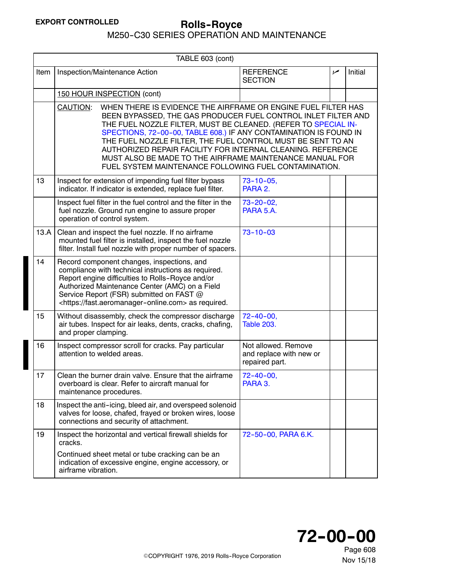<span id="page-2-0"></span>

|      | TABLE 603 (cont)                                                                                                                                                                                                                                                                                                                                                                                                                                                                                                                     |                                                                  |     |         |  |
|------|--------------------------------------------------------------------------------------------------------------------------------------------------------------------------------------------------------------------------------------------------------------------------------------------------------------------------------------------------------------------------------------------------------------------------------------------------------------------------------------------------------------------------------------|------------------------------------------------------------------|-----|---------|--|
| Item | Inspection/Maintenance Action                                                                                                                                                                                                                                                                                                                                                                                                                                                                                                        | <b>REFERENCE</b><br><b>SECTION</b>                               | مما | Initial |  |
|      | 150 HOUR INSPECTION (cont)                                                                                                                                                                                                                                                                                                                                                                                                                                                                                                           |                                                                  |     |         |  |
|      | CAUTION:<br>WHEN THERE IS EVIDENCE THE AIRFRAME OR ENGINE FUEL FILTER HAS<br>BEEN BYPASSED, THE GAS PRODUCER FUEL CONTROL INLET FILTER AND<br>THE FUEL NOZZLE FILTER, MUST BE CLEANED. (REFER TO SPECIAL IN-<br>SPECTIONS, 72-00-00, TABLE 608.) IF ANY CONTAMINATION IS FOUND IN<br>THE FUEL NOZZLE FILTER, THE FUEL CONTROL MUST BE SENT TO AN<br>AUTHORIZED REPAIR FACILITY FOR INTERNAL CLEANING. REFERENCE<br>MUST ALSO BE MADE TO THE AIRFRAME MAINTENANCE MANUAL FOR<br>FUEL SYSTEM MAINTENANCE FOLLOWING FUEL CONTAMINATION. |                                                                  |     |         |  |
| 13   | Inspect for extension of impending fuel filter bypass<br>indicator. If indicator is extended, replace fuel filter.                                                                                                                                                                                                                                                                                                                                                                                                                   | $73 - 10 - 05$ ,<br>PARA 2.                                      |     |         |  |
|      | Inspect fuel filter in the fuel control and the filter in the<br>fuel nozzle. Ground run engine to assure proper<br>operation of control system.                                                                                                                                                                                                                                                                                                                                                                                     | $73 - 20 - 02$ ,<br>PARA 5.A.                                    |     |         |  |
| 13.A | Clean and inspect the fuel nozzle. If no airframe<br>mounted fuel filter is installed, inspect the fuel nozzle<br>filter. Install fuel nozzle with proper number of spacers.                                                                                                                                                                                                                                                                                                                                                         | $73 - 10 - 03$                                                   |     |         |  |
| 14   | Record component changes, inspections, and<br>compliance with technical instructions as required.<br>Report engine difficulties to Rolls-Royce and/or<br>Authorized Maintenance Center (AMC) on a Field<br>Service Report (FSR) submitted on FAST @<br><https: fast.aeromanager-online.com=""> as required.</https:>                                                                                                                                                                                                                 |                                                                  |     |         |  |
| 15   | Without disassembly, check the compressor discharge<br>air tubes. Inspect for air leaks, dents, cracks, chafing,<br>and proper clamping.                                                                                                                                                                                                                                                                                                                                                                                             | $72 - 40 - 00$ ,<br><b>Table 203.</b>                            |     |         |  |
| 16   | Inspect compressor scroll for cracks. Pay particular<br>attention to welded areas.                                                                                                                                                                                                                                                                                                                                                                                                                                                   | Not allowed. Remove<br>and replace with new or<br>repaired part. |     |         |  |
| 17   | Clean the burner drain valve. Ensure that the airframe<br>overboard is clear. Refer to aircraft manual for<br>maintenance procedures.                                                                                                                                                                                                                                                                                                                                                                                                | $72 - 40 - 00$ ,<br>PARA 3.                                      |     |         |  |
| 18   | Inspect the anti-icing, bleed air, and overspeed solenoid<br>valves for loose, chafed, frayed or broken wires, loose<br>connections and security of attachment.                                                                                                                                                                                                                                                                                                                                                                      |                                                                  |     |         |  |
| 19   | Inspect the horizontal and vertical firewall shields for<br>cracks.<br>Continued sheet metal or tube cracking can be an<br>indication of excessive engine, engine accessory, or<br>airframe vibration.                                                                                                                                                                                                                                                                                                                               | 72-50-00, PARA 6.K.                                              |     |         |  |

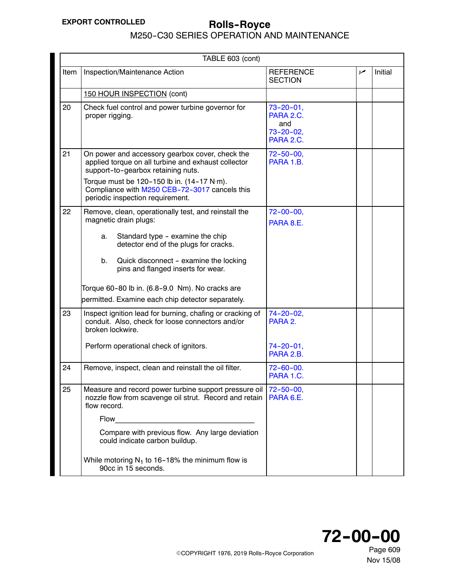M250-C30 SERIES OPERATION AND MAINTENANCE

<span id="page-3-0"></span>

|      | TABLE 603 (cont)                                                                                                                                        |                                                                     |     |         |  |
|------|---------------------------------------------------------------------------------------------------------------------------------------------------------|---------------------------------------------------------------------|-----|---------|--|
| Item | Inspection/Maintenance Action                                                                                                                           | <b>REFERENCE</b><br><b>SECTION</b>                                  | سما | Initial |  |
|      | 150 HOUR INSPECTION (cont)                                                                                                                              |                                                                     |     |         |  |
| 20   | Check fuel control and power turbine governor for<br>proper rigging.                                                                                    | $73 - 20 - 01$ ,<br>PARA 2.C.<br>and<br>$73 - 20 - 02$<br>PARA 2.C. |     |         |  |
| 21   | On power and accessory gearbox cover, check the<br>applied torque on all turbine and exhaust collector<br>support-to-gearbox retaining nuts.            | $72 - 50 - 00$ ,<br>PARA 1.B.                                       |     |         |  |
|      | Torque must be 120-150 lb in. $(14-17 \text{ N} \cdot \text{m})$ .<br>Compliance with M250 CEB-72-3017 cancels this<br>periodic inspection requirement. |                                                                     |     |         |  |
| 22   | Remove, clean, operationally test, and reinstall the<br>magnetic drain plugs:                                                                           | $72 - 00 - 00$ ,<br>PARA 8.E.                                       |     |         |  |
|      | Standard type - examine the chip<br>a.<br>detector end of the plugs for cracks.                                                                         |                                                                     |     |         |  |
|      | b.<br>Quick disconnect - examine the locking<br>pins and flanged inserts for wear.                                                                      |                                                                     |     |         |  |
|      | Torque 60-80 lb in. (6.8-9.0 Nm). No cracks are                                                                                                         |                                                                     |     |         |  |
|      | permitted. Examine each chip detector separately.                                                                                                       |                                                                     |     |         |  |
| 23   | Inspect ignition lead for burning, chafing or cracking of<br>conduit. Also, check for loose connectors and/or<br>broken lockwire.                       | $74 - 20 - 02$ ,<br>PARA 2.                                         |     |         |  |
|      | Perform operational check of ignitors.                                                                                                                  | $74 - 20 - 01$ ,<br>PARA 2.B.                                       |     |         |  |
| 24   | Remove, inspect, clean and reinstall the oil filter.                                                                                                    | $72 - 60 - 00$ .<br>PARA 1.C.                                       |     |         |  |
| 25   | Measure and record power turbine support pressure oil   72-50-00,<br>nozzle flow from scavenge oil strut. Record and retain<br>flow record.             | PARA 6.E.                                                           |     |         |  |
|      | Flow                                                                                                                                                    |                                                                     |     |         |  |
|      | Compare with previous flow. Any large deviation<br>could indicate carbon buildup.                                                                       |                                                                     |     |         |  |
|      | While motoring $N_1$ to 16-18% the minimum flow is<br>90cc in 15 seconds.                                                                               |                                                                     |     |         |  |

Nov 15/08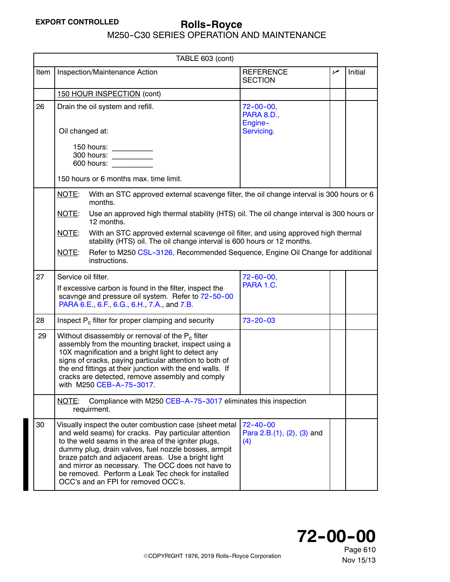M250-C30 SERIES OPERATION AND MAINTENANCE

<span id="page-4-0"></span>

|      | TABLE 603 (cont)                                                                                                                                                                                                                                                                                                                                                                                                                       |                                                       |     |         |  |
|------|----------------------------------------------------------------------------------------------------------------------------------------------------------------------------------------------------------------------------------------------------------------------------------------------------------------------------------------------------------------------------------------------------------------------------------------|-------------------------------------------------------|-----|---------|--|
| Item | Inspection/Maintenance Action                                                                                                                                                                                                                                                                                                                                                                                                          | <b>REFERENCE</b><br><b>SECTION</b>                    | مما | Initial |  |
|      | 150 HOUR INSPECTION (cont)                                                                                                                                                                                                                                                                                                                                                                                                             |                                                       |     |         |  |
| 26   | Drain the oil system and refill.                                                                                                                                                                                                                                                                                                                                                                                                       | $72 - 00 - 00,$<br><b>PARA 8.D.,</b><br>Engine-       |     |         |  |
|      | Oil changed at:                                                                                                                                                                                                                                                                                                                                                                                                                        | Servicing.                                            |     |         |  |
|      | 150 hours:<br>300 hours:                                                                                                                                                                                                                                                                                                                                                                                                               |                                                       |     |         |  |
|      | 150 hours or 6 months max. time limit.                                                                                                                                                                                                                                                                                                                                                                                                 |                                                       |     |         |  |
|      | NOTE:<br>With an STC approved external scavenge filter, the oil change interval is 300 hours or 6<br>months.                                                                                                                                                                                                                                                                                                                           |                                                       |     |         |  |
|      | Use an approved high thermal stability (HTS) oil. The oil change interval is 300 hours or<br>NOTE:<br>12 months.                                                                                                                                                                                                                                                                                                                       |                                                       |     |         |  |
|      | With an STC approved external scavenge oil filter, and using approved high thermal<br>NOTE:<br>stability (HTS) oil. The oil change interval is 600 hours or 12 months.                                                                                                                                                                                                                                                                 |                                                       |     |         |  |
|      | NOTE:<br>Refer to M250 CSL-3126, Recommended Sequence, Engine Oil Change for additional<br>instructions.                                                                                                                                                                                                                                                                                                                               |                                                       |     |         |  |
| 27   | Service oil filter.                                                                                                                                                                                                                                                                                                                                                                                                                    | $72 - 60 - 00$ ,<br>PARA 1.C.                         |     |         |  |
|      | If excessive carbon is found in the filter, inspect the<br>scavnge and pressure oil system. Refer to 72-50-00<br>PARA 6.E., 6.F., 6.G., 6.H., 7.A., and 7.B.                                                                                                                                                                                                                                                                           |                                                       |     |         |  |
| 28   | Inspect $P_c$ filter for proper clamping and security                                                                                                                                                                                                                                                                                                                                                                                  | $73 - 20 - 03$                                        |     |         |  |
| 29   | Without disassembly or removal of the P <sub>c</sub> filter<br>assembly from the mounting bracket, inspect using a<br>10X magnification and a bright light to detect any<br>signs of cracks, paying particular attention to both of<br>the end fittings at their junction with the end walls. If<br>cracks are detected, remove assembly and comply<br>with M250 CEB-A-75-3017.                                                        |                                                       |     |         |  |
|      | Compliance with M250 CEB-A-75-3017 eliminates this inspection<br>NOTE:<br>requirment.                                                                                                                                                                                                                                                                                                                                                  |                                                       |     |         |  |
| 30   | Visually inspect the outer combustion case (sheet metal<br>and weld seams) for cracks. Pay particular attention<br>to the weld seams in the area of the igniter plugs,<br>dummy plug, drain valves, fuel nozzle bosses, armpit<br>braze patch and adjacent areas. Use a bright light<br>and mirror as necessary. The OCC does not have to<br>be removed. Perform a Leak Tec check for installed<br>OCC's and an FPI for removed OCC's. | $72 - 40 - 00$<br>Para $2.B.(1), (2), (3)$ and<br>(4) |     |         |  |

Page 610

**72--00--00**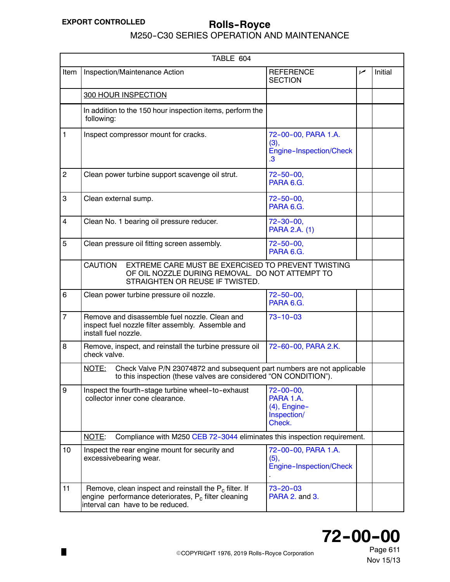M250-C30 SERIES OPERATION AND MAINTENANCE

| TABLE 604      |                                                                                                                                                                          |                                                                         |     |         |  |
|----------------|--------------------------------------------------------------------------------------------------------------------------------------------------------------------------|-------------------------------------------------------------------------|-----|---------|--|
| Item           | Inspection/Maintenance Action                                                                                                                                            | <b>REFERENCE</b><br><b>SECTION</b>                                      | مما | Initial |  |
|                | <b>300 HOUR INSPECTION</b>                                                                                                                                               |                                                                         |     |         |  |
|                | In addition to the 150 hour inspection items, perform the<br>following:                                                                                                  |                                                                         |     |         |  |
| $\mathbf{1}$   | Inspect compressor mount for cracks.                                                                                                                                     | 72-00-00, PARA 1.A.<br>(3),<br>Engine-Inspection/Check<br>$\mathbf{.3}$ |     |         |  |
| $\overline{c}$ | Clean power turbine support scavenge oil strut.                                                                                                                          | $72 - 50 - 00$ ,<br>PARA 6.G.                                           |     |         |  |
| 3              | Clean external sump.                                                                                                                                                     | $72 - 50 - 00$ ,<br>PARA 6.G.                                           |     |         |  |
| 4              | Clean No. 1 bearing oil pressure reducer.                                                                                                                                | $72 - 30 - 00,$<br>PARA 2.A. (1)                                        |     |         |  |
| 5              | Clean pressure oil fitting screen assembly.                                                                                                                              | $72 - 50 - 00$<br>PARA 6.G.                                             |     |         |  |
|                | <b>CAUTION</b><br>EXTREME CARE MUST BE EXERCISED TO PREVENT TWISTING<br>OF OIL NOZZLE DURING REMOVAL. DO NOT ATTEMPT TO<br>STRAIGHTEN OR REUSE IF TWISTED.               |                                                                         |     |         |  |
| 6              | Clean power turbine pressure oil nozzle.                                                                                                                                 | $72 - 50 - 00$ ,<br>PARA 6.G.                                           |     |         |  |
| $\overline{7}$ | Remove and disassemble fuel nozzle. Clean and<br>inspect fuel nozzle filter assembly. Assemble and<br>install fuel nozzle.                                               | $73 - 10 - 03$                                                          |     |         |  |
| 8              | Remove, inspect, and reinstall the turbine pressure oil<br>check valve.                                                                                                  | 72-60-00, PARA 2.K.                                                     |     |         |  |
|                | Check Valve P/N 23074872 and subsequent part numbers are not applicable<br>NOTE:<br>to this inspection (these valves are considered "ON CONDITION").                     |                                                                         |     |         |  |
| 9              | Inspect the fourth-stage turbine wheel-to-exhaust<br>collector inner cone clearance.                                                                                     | $72 - 00 - 00,$<br>PARA 1.A.<br>(4), Engine-<br>Inspection/<br>Check.   |     |         |  |
|                | Compliance with M250 CEB 72-3044 eliminates this inspection requirement.<br>NOTE:                                                                                        |                                                                         |     |         |  |
| 10             | Inspect the rear engine mount for security and<br>excessivebearing wear.                                                                                                 | 72-00-00, PARA 1.A.<br>(5),<br>Engine-Inspection/Check                  |     |         |  |
| 11             | Remove, clean inspect and reinstall the P <sub>c</sub> filter. If<br>engine performance deteriorates, P <sub>c</sub> filter cleaning<br>interval can have to be reduced. | $73 - 20 - 03$<br><b>PARA 2. and 3.</b>                                 |     |         |  |

# **72--00--00**

Page 611 Nov 15/13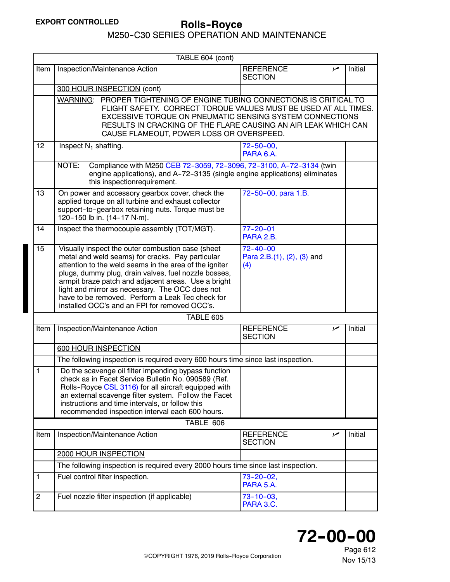<span id="page-6-0"></span>

|                  | TABLE 604 (cont)                                                                                                                                                                                                                                                                                                                                                                                                                       |                                                     |     |         |  |
|------------------|----------------------------------------------------------------------------------------------------------------------------------------------------------------------------------------------------------------------------------------------------------------------------------------------------------------------------------------------------------------------------------------------------------------------------------------|-----------------------------------------------------|-----|---------|--|
| Item             | Inspection/Maintenance Action                                                                                                                                                                                                                                                                                                                                                                                                          | <b>REFERENCE</b><br><b>SECTION</b>                  | سما | Initial |  |
|                  | 300 HOUR INSPECTION (cont)                                                                                                                                                                                                                                                                                                                                                                                                             |                                                     |     |         |  |
|                  | WARNING: PROPER TIGHTENING OF ENGINE TUBING CONNECTIONS IS CRITICAL TO<br>FLIGHT SAFETY. CORRECT TORQUE VALUES MUST BE USED AT ALL TIMES.<br>EXCESSIVE TORQUE ON PNEUMATIC SENSING SYSTEM CONNECTIONS<br>RESULTS IN CRACKING OF THE FLARE CAUSING AN AIR LEAK WHICH CAN<br>CAUSE FLAMEOUT, POWER LOSS OR OVERSPEED.                                                                                                                    |                                                     |     |         |  |
| 12               | Inspect $N_1$ shafting.                                                                                                                                                                                                                                                                                                                                                                                                                | $72 - 50 - 00$ ,<br>PARA 6.A.                       |     |         |  |
|                  | Compliance with M250 CEB 72-3059, 72-3096, 72-3100, A-72-3134 (twin<br>NOTE:<br>engine applications), and A-72-3135 (single engine applications) eliminates<br>this inspectionrequirement.                                                                                                                                                                                                                                             |                                                     |     |         |  |
| 13               | On power and accessory gearbox cover, check the<br>applied torque on all turbine and exhaust collector<br>support-to-gearbox retaining nuts. Torque must be<br>120-150 lb in. (14-17 N·m).                                                                                                                                                                                                                                             | 72-50-00, para 1.B.                                 |     |         |  |
| 14               | Inspect the thermocouple assembly (TOT/MGT).                                                                                                                                                                                                                                                                                                                                                                                           | $77 - 20 - 01$<br>PARA 2.B.                         |     |         |  |
| 15               | Visually inspect the outer combustion case (sheet<br>metal and weld seams) for cracks. Pay particular<br>attention to the weld seams in the area of the igniter<br>plugs, dummy plug, drain valves, fuel nozzle bosses,<br>armpit braze patch and adjacent areas. Use a bright<br>light and mirror as necessary. The OCC does not<br>have to be removed. Perform a Leak Tec check for<br>installed OCC's and an FPI for removed OCC's. | $72 - 40 - 00$<br>Para 2.B.(1), (2), (3) and<br>(4) |     |         |  |
|                  | TABLE 605                                                                                                                                                                                                                                                                                                                                                                                                                              |                                                     |     |         |  |
| Item             | Inspection/Maintenance Action                                                                                                                                                                                                                                                                                                                                                                                                          | <b>REFERENCE</b><br><b>SECTION</b>                  | سما | Initial |  |
|                  | 600 HOUR INSPECTION                                                                                                                                                                                                                                                                                                                                                                                                                    |                                                     |     |         |  |
|                  | The following inspection is required every 600 hours time since last inspection.                                                                                                                                                                                                                                                                                                                                                       |                                                     |     |         |  |
| 1                | Do the scavenge oil filter impending bypass function<br>check as in Facet Service Bulletin No. 090589 (Ref.<br>Rolls-Royce CSL 3116) for all aircraft equipped with<br>an external scavenge filter system. Follow the Facet<br>instructions and time intervals, or follow this<br>recommended inspection interval each 600 hours.                                                                                                      |                                                     |     |         |  |
|                  | TABLE 606                                                                                                                                                                                                                                                                                                                                                                                                                              |                                                     |     |         |  |
| Item             | Inspection/Maintenance Action                                                                                                                                                                                                                                                                                                                                                                                                          | <b>REFERENCE</b><br><b>SECTION</b>                  | مما | Initial |  |
|                  | 2000 HOUR INSPECTION                                                                                                                                                                                                                                                                                                                                                                                                                   |                                                     |     |         |  |
|                  | The following inspection is required every 2000 hours time since last inspection.                                                                                                                                                                                                                                                                                                                                                      |                                                     |     |         |  |
| 1                | Fuel control filter inspection.                                                                                                                                                                                                                                                                                                                                                                                                        | $73 - 20 - 02$<br>PARA 5.A.                         |     |         |  |
| $\boldsymbol{2}$ | Fuel nozzle filter inspection (if applicable)                                                                                                                                                                                                                                                                                                                                                                                          | $73 - 10 - 03$ ,<br>PARA 3.C.                       |     |         |  |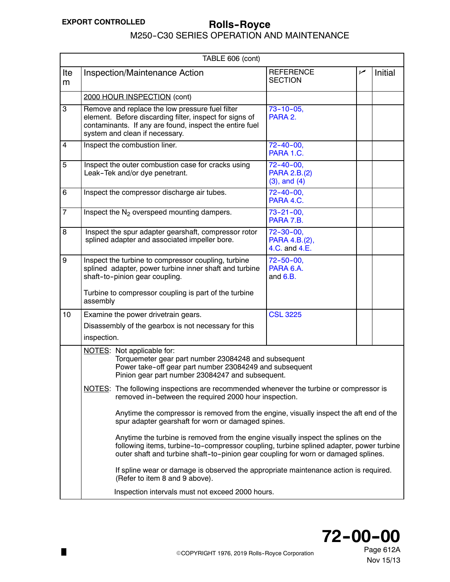M250-C30 SERIES OPERATION AND MAINTENANCE

<span id="page-7-0"></span>

| TABLE 606 (cont)        |                                                                                                                                                                                                                                                                     |                                                       |    |         |  |
|-------------------------|---------------------------------------------------------------------------------------------------------------------------------------------------------------------------------------------------------------------------------------------------------------------|-------------------------------------------------------|----|---------|--|
| Ite<br>m                | <b>Inspection/Maintenance Action</b>                                                                                                                                                                                                                                | <b>REFERENCE</b><br><b>SECTION</b>                    | مم | Initial |  |
|                         | 2000 HOUR INSPECTION (cont)                                                                                                                                                                                                                                         |                                                       |    |         |  |
| $\overline{3}$          | Remove and replace the low pressure fuel filter<br>element. Before discarding filter, inspect for signs of<br>contaminants. If any are found, inspect the entire fuel<br>system and clean if necessary.                                                             | $73 - 10 - 05$<br>PARA 2.                             |    |         |  |
| $\overline{\mathbf{4}}$ | Inspect the combustion liner.                                                                                                                                                                                                                                       | $72 - 40 - 00$ ,<br>PARA 1.C.                         |    |         |  |
| 5                       | Inspect the outer combustion case for cracks using<br>Leak-Tek and/or dye penetrant.                                                                                                                                                                                | $72 - 40 - 00$ ,<br>PARA 2.B.(2)<br>$(3)$ , and $(4)$ |    |         |  |
| 6                       | Inspect the compressor discharge air tubes.                                                                                                                                                                                                                         | $72 - 40 - 00$ ,<br>PARA 4.C.                         |    |         |  |
| $\overline{7}$          | Inspect the $N_2$ overspeed mounting dampers.                                                                                                                                                                                                                       | $73 - 21 - 00$ ,<br>PARA 7.B.                         |    |         |  |
| 8                       | Inspect the spur adapter gearshaft, compressor rotor<br>splined adapter and associated impeller bore.                                                                                                                                                               | $72 - 30 - 00$<br>PARA 4.B.(2),<br>4.C. and 4.E.      |    |         |  |
| 9                       | Inspect the turbine to compressor coupling, turbine<br>splined adapter, power turbine inner shaft and turbine<br>shaft-to-pinion gear coupling.<br>Turbine to compressor coupling is part of the turbine<br>assembly                                                | $72 - 50 - 00$ ,<br>PARA 6.A.<br>and $6.B.$           |    |         |  |
| 10                      | Examine the power drivetrain gears.<br>Disassembly of the gearbox is not necessary for this<br>inspection.                                                                                                                                                          | <b>CSL 3225</b>                                       |    |         |  |
|                         | NOTES: Not applicable for:<br>Torquemeter gear part number 23084248 and subsequent<br>Power take-off gear part number 23084249 and subsequent<br>Pinion gear part number 23084247 and subsequent.                                                                   |                                                       |    |         |  |
|                         | NOTES: The following inspections are recommended whenever the turbine or compressor is<br>removed in-between the required 2000 hour inspection.                                                                                                                     |                                                       |    |         |  |
|                         | Anytime the compressor is removed from the engine, visually inspect the aft end of the<br>spur adapter gearshaft for worn or damaged spines.                                                                                                                        |                                                       |    |         |  |
|                         | Anytime the turbine is removed from the engine visually inspect the splines on the<br>following items, turbine-to-compressor coupling, turbine splined adapter, power turbine<br>outer shaft and turbine shaft-to-pinion gear coupling for worn or damaged splines. |                                                       |    |         |  |
|                         | If spline wear or damage is observed the appropriate maintenance action is required.<br>(Refer to item 8 and 9 above).                                                                                                                                              |                                                       |    |         |  |
|                         | Inspection intervals must not exceed 2000 hours.                                                                                                                                                                                                                    |                                                       |    |         |  |



Page 612A Nov 15/13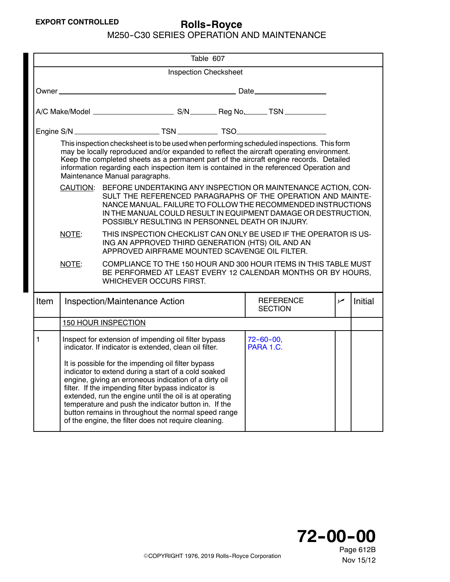|  | M250-C30 SERIES OPERATION AND MAINTENANCE |  |
|--|-------------------------------------------|--|
|  |                                           |  |

|              | Table 607                                                                                                                                                                                                                                                                                                                                                                                                    |                                                                                                                                                                                                                                                                                                                                                                                                                                                            |                                    |     |         |  |  |
|--------------|--------------------------------------------------------------------------------------------------------------------------------------------------------------------------------------------------------------------------------------------------------------------------------------------------------------------------------------------------------------------------------------------------------------|------------------------------------------------------------------------------------------------------------------------------------------------------------------------------------------------------------------------------------------------------------------------------------------------------------------------------------------------------------------------------------------------------------------------------------------------------------|------------------------------------|-----|---------|--|--|
|              |                                                                                                                                                                                                                                                                                                                                                                                                              | <b>Inspection Checksheet</b>                                                                                                                                                                                                                                                                                                                                                                                                                               |                                    |     |         |  |  |
|              |                                                                                                                                                                                                                                                                                                                                                                                                              |                                                                                                                                                                                                                                                                                                                                                                                                                                                            |                                    |     |         |  |  |
|              |                                                                                                                                                                                                                                                                                                                                                                                                              |                                                                                                                                                                                                                                                                                                                                                                                                                                                            |                                    |     |         |  |  |
|              |                                                                                                                                                                                                                                                                                                                                                                                                              |                                                                                                                                                                                                                                                                                                                                                                                                                                                            |                                    |     |         |  |  |
|              | This inspection checksheet is to be used when performing scheduled inspections. This form<br>may be locally reproduced and/or expanded to reflect the aircraft operating environment.<br>Keep the completed sheets as a permanent part of the aircraft engine records. Detailed<br>information regarding each inspection item is contained in the referenced Operation and<br>Maintenance Manual paragraphs. |                                                                                                                                                                                                                                                                                                                                                                                                                                                            |                                    |     |         |  |  |
|              | CAUTION: BEFORE UNDERTAKING ANY INSPECTION OR MAINTENANCE ACTION, CON-<br>SULT THE REFERENCED PARAGRAPHS OF THE OPERATION AND MAINTE-<br>NANCE MANUAL. FAILURE TO FOLLOW THE RECOMMENDED INSTRUCTIONS<br>IN THE MANUAL COULD RESULT IN EQUIPMENT DAMAGE OR DESTRUCTION,<br>POSSIBLY RESULTING IN PERSONNEL DEATH OR INJURY.                                                                                  |                                                                                                                                                                                                                                                                                                                                                                                                                                                            |                                    |     |         |  |  |
|              | THIS INSPECTION CHECKLIST CAN ONLY BE USED IF THE OPERATOR IS US-<br>NOTE:<br>ING AN APPROVED THIRD GENERATION (HTS) OIL AND AN<br>APPROVED AIRFRAME MOUNTED SCAVENGE OIL FILTER.                                                                                                                                                                                                                            |                                                                                                                                                                                                                                                                                                                                                                                                                                                            |                                    |     |         |  |  |
|              | NOTE:                                                                                                                                                                                                                                                                                                                                                                                                        | COMPLIANCE TO THE 150 HOUR AND 300 HOUR ITEMS IN THIS TABLE MUST<br>BE PERFORMED AT LEAST EVERY 12 CALENDAR MONTHS OR BY HOURS,<br><b>WHICHEVER OCCURS FIRST.</b>                                                                                                                                                                                                                                                                                          |                                    |     |         |  |  |
| <b>Item</b>  |                                                                                                                                                                                                                                                                                                                                                                                                              | Inspection/Maintenance Action                                                                                                                                                                                                                                                                                                                                                                                                                              | <b>REFERENCE</b><br><b>SECTION</b> | سما | Initial |  |  |
|              |                                                                                                                                                                                                                                                                                                                                                                                                              | 150 HOUR INSPECTION                                                                                                                                                                                                                                                                                                                                                                                                                                        |                                    |     |         |  |  |
| $\mathbf{1}$ |                                                                                                                                                                                                                                                                                                                                                                                                              | Inspect for extension of impending oil filter bypass<br>indicator. If indicator is extended, clean oil filter.                                                                                                                                                                                                                                                                                                                                             | $72 - 60 - 00$<br>PARA 1.C.        |     |         |  |  |
|              |                                                                                                                                                                                                                                                                                                                                                                                                              | It is possible for the impending oil filter bypass<br>indicator to extend during a start of a cold soaked<br>engine, giving an erroneous indication of a dirty oil<br>filter. If the impending filter bypass indicator is<br>extended, run the engine until the oil is at operating<br>temperature and push the indicator button in. If the<br>button remains in throughout the normal speed range<br>of the engine, the filter does not require cleaning. |                                    |     |         |  |  |

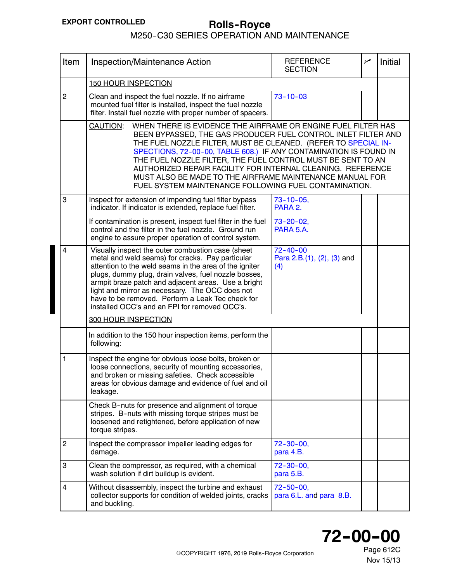### M250-C30 SERIES OPERATION AND MAINTENANCE

<span id="page-9-0"></span>

| Item           | Inspection/Maintenance Action                                                                                                                                                                                                                                                                                                                                                                                                                                                                                                        | <b>REFERENCE</b><br><b>SECTION</b>                  | سما | <b>Initial</b> |  |  |
|----------------|--------------------------------------------------------------------------------------------------------------------------------------------------------------------------------------------------------------------------------------------------------------------------------------------------------------------------------------------------------------------------------------------------------------------------------------------------------------------------------------------------------------------------------------|-----------------------------------------------------|-----|----------------|--|--|
|                | <b>150 HOUR INSPECTION</b>                                                                                                                                                                                                                                                                                                                                                                                                                                                                                                           |                                                     |     |                |  |  |
| $\overline{c}$ | Clean and inspect the fuel nozzle. If no airframe<br>mounted fuel filter is installed, inspect the fuel nozzle<br>filter. Install fuel nozzle with proper number of spacers.                                                                                                                                                                                                                                                                                                                                                         | $73 - 10 - 03$                                      |     |                |  |  |
|                | WHEN THERE IS EVIDENCE THE AIRFRAME OR ENGINE FUEL FILTER HAS<br>CAUTION:<br>BEEN BYPASSED, THE GAS PRODUCER FUEL CONTROL INLET FILTER AND<br>THE FUEL NOZZLE FILTER, MUST BE CLEANED. (REFER TO SPECIAL IN-<br>SPECTIONS, 72-00-00, TABLE 608.) IF ANY CONTAMINATION IS FOUND IN<br>THE FUEL NOZZLE FILTER, THE FUEL CONTROL MUST BE SENT TO AN<br>AUTHORIZED REPAIR FACILITY FOR INTERNAL CLEANING. REFERENCE<br>MUST ALSO BE MADE TO THE AIRFRAME MAINTENANCE MANUAL FOR<br>FUEL SYSTEM MAINTENANCE FOLLOWING FUEL CONTAMINATION. |                                                     |     |                |  |  |
| 3              | Inspect for extension of impending fuel filter bypass<br>indicator. If indicator is extended, replace fuel filter.                                                                                                                                                                                                                                                                                                                                                                                                                   | $73 - 10 - 05$ ,<br>PARA 2.                         |     |                |  |  |
|                | If contamination is present, inspect fuel filter in the fuel<br>control and the filter in the fuel nozzle. Ground run<br>engine to assure proper operation of control system.                                                                                                                                                                                                                                                                                                                                                        | $73 - 20 - 02$<br>PARA 5.A.                         |     |                |  |  |
| 4              | Visually inspect the outer combustion case (sheet<br>metal and weld seams) for cracks. Pay particular<br>attention to the weld seams in the area of the igniter<br>plugs, dummy plug, drain valves, fuel nozzle bosses,<br>armpit braze patch and adjacent areas. Use a bright<br>light and mirror as necessary. The OCC does not<br>have to be removed. Perform a Leak Tec check for<br>installed OCC's and an FPI for removed OCC's.                                                                                               | $72 - 40 - 00$<br>Para 2.B.(1), (2), (3) and<br>(4) |     |                |  |  |
|                | <b>300 HOUR INSPECTION</b>                                                                                                                                                                                                                                                                                                                                                                                                                                                                                                           |                                                     |     |                |  |  |
|                | In addition to the 150 hour inspection items, perform the<br>following:                                                                                                                                                                                                                                                                                                                                                                                                                                                              |                                                     |     |                |  |  |
| 1              | Inspect the engine for obvious loose bolts, broken or<br>loose connections, security of mounting accessories,<br>and broken or missing safeties. Check accessible<br>areas for obvious damage and evidence of fuel and oil<br>leakage.                                                                                                                                                                                                                                                                                               |                                                     |     |                |  |  |
|                | Check B-nuts for presence and alignment of torque<br>stripes. B-nuts with missing torque stripes must be<br>loosened and retightened, before application of new<br>torque stripes.                                                                                                                                                                                                                                                                                                                                                   |                                                     |     |                |  |  |
| $\overline{c}$ | Inspect the compressor impeller leading edges for<br>damage.                                                                                                                                                                                                                                                                                                                                                                                                                                                                         | $72 - 30 - 00,$<br>para 4.B.                        |     |                |  |  |
| 3              | Clean the compressor, as required, with a chemical<br>wash solution if dirt buildup is evident.                                                                                                                                                                                                                                                                                                                                                                                                                                      | $72 - 30 - 00$ ,<br>para 5.B.                       |     |                |  |  |
| 4              | Without disassembly, inspect the turbine and exhaust<br>collector supports for condition of welded joints, cracks<br>and buckling.                                                                                                                                                                                                                                                                                                                                                                                                   | $72 - 50 - 00,$<br>para 6.L. and para 8.B.          |     |                |  |  |



Page 612C Nov 15/13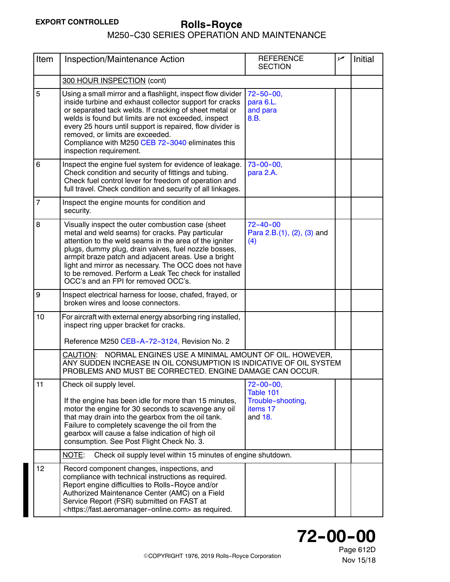| Item           | Inspection/Maintenance Action                                                                                                                                                                                                                                                                                                                                                                                                          | <b>REFERENCE</b><br><b>SECTION</b>                                        | سما | Initial |
|----------------|----------------------------------------------------------------------------------------------------------------------------------------------------------------------------------------------------------------------------------------------------------------------------------------------------------------------------------------------------------------------------------------------------------------------------------------|---------------------------------------------------------------------------|-----|---------|
|                | 300 HOUR INSPECTION (cont)                                                                                                                                                                                                                                                                                                                                                                                                             |                                                                           |     |         |
| 5              | Using a small mirror and a flashlight, inspect flow divider<br>inside turbine and exhaust collector support for cracks<br>or separated tack welds. If cracking of sheet metal or<br>welds is found but limits are not exceeded, inspect<br>every 25 hours until support is repaired, flow divider is<br>removed, or limits are exceeded.<br>Compliance with M250 CEB 72-3040 eliminates this<br>inspection requirement.                | $72 - 50 - 00$<br>para 6.L.<br>and para<br>8.B.                           |     |         |
| 6              | Inspect the engine fuel system for evidence of leakage.<br>Check condition and security of fittings and tubing.<br>Check fuel control lever for freedom of operation and<br>full travel. Check condition and security of all linkages.                                                                                                                                                                                                 | $73 - 00 - 00$ ,<br>para 2.A.                                             |     |         |
| $\overline{7}$ | Inspect the engine mounts for condition and<br>security.                                                                                                                                                                                                                                                                                                                                                                               |                                                                           |     |         |
| 8              | Visually inspect the outer combustion case (sheet<br>metal and weld seams) for cracks. Pay particular<br>attention to the weld seams in the area of the igniter<br>plugs, dummy plug, drain valves, fuel nozzle bosses,<br>armpit braze patch and adjacent areas. Use a bright<br>light and mirror as necessary. The OCC does not have<br>to be removed. Perform a Leak Tec check for installed<br>OCC's and an FPI for removed OCC's. | $72 - 40 - 00$<br>Para 2.B.(1), (2), (3) and<br>(4)                       |     |         |
| $\mathbf 9$    | Inspect electrical harness for loose, chafed, frayed, or<br>broken wires and loose connectors.                                                                                                                                                                                                                                                                                                                                         |                                                                           |     |         |
| 10             | For aircraft with external energy absorbing ring installed,<br>inspect ring upper bracket for cracks.<br>Reference M250 CEB-A-72-3124, Revision No. 2                                                                                                                                                                                                                                                                                  |                                                                           |     |         |
|                | CAUTION: NORMAL ENGINES USE A MINIMAL AMOUNT OF OIL. HOWEVER,<br>ANY SUDDEN INCREASE IN OIL CONSUMPTION IS INDICATIVE OF OIL SYSTEM<br>PROBLEMS AND MUST BE CORRECTED. ENGINE DAMAGE CAN OCCUR.                                                                                                                                                                                                                                        |                                                                           |     |         |
| 11             | Check oil supply level.<br>If the engine has been idle for more than 15 minutes,<br>motor the engine for 30 seconds to scavenge any oil<br>that may drain into the gearbox from the oil tank.<br>Failure to completely scavenge the oil from the<br>gearbox will cause a false indication of high oil<br>consumption. See Post Flight Check No. 3.                                                                                     | $72 - 00 - 00$ ,<br>Table 101<br>Trouble-shooting,<br>items 17<br>and 18. |     |         |
|                | NOTE:<br>Check oil supply level within 15 minutes of engine shutdown.                                                                                                                                                                                                                                                                                                                                                                  |                                                                           |     |         |
| 12             | Record component changes, inspections, and<br>compliance with technical instructions as required.<br>Report engine difficulties to Rolls-Royce and/or<br>Authorized Maintenance Center (AMC) on a Field<br>Service Report (FSR) submitted on FAST at<br><https: fast.aeromanager-online.com=""> as required.</https:>                                                                                                                  |                                                                           |     |         |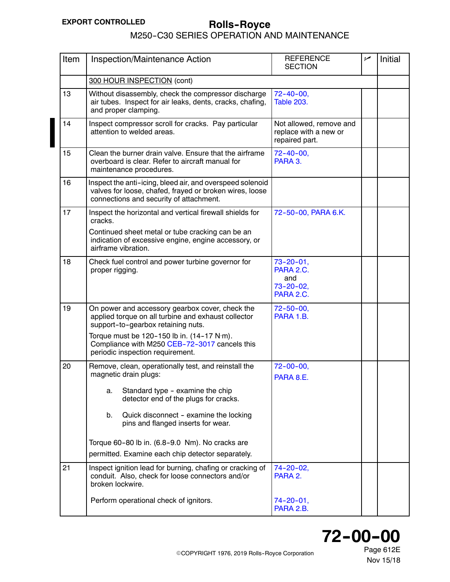# **Rolls--Royce EXPORT CONTROLLED** M250-C30 SERIES OPERATION AND MAINTENANCE

| Item | Inspection/Maintenance Action                                                                                                                                      | <b>REFERENCE</b><br><b>SECTION</b>                                  | مم | Initial |
|------|--------------------------------------------------------------------------------------------------------------------------------------------------------------------|---------------------------------------------------------------------|----|---------|
|      | 300 HOUR INSPECTION (cont)                                                                                                                                         |                                                                     |    |         |
| 13   | Without disassembly, check the compressor discharge<br>air tubes. Inspect for air leaks, dents, cracks, chafing,<br>and proper clamping.                           | $72 - 40 - 00$ ,<br><b>Table 203.</b>                               |    |         |
| 14   | Inspect compressor scroll for cracks. Pay particular<br>attention to welded areas.                                                                                 | Not allowed, remove and<br>replace with a new or<br>repaired part.  |    |         |
| 15   | Clean the burner drain valve. Ensure that the airframe<br>$72 - 40 - 00$<br>overboard is clear. Refer to aircraft manual for<br>PARA 3.<br>maintenance procedures. |                                                                     |    |         |
| 16   | Inspect the anti-icing, bleed air, and overspeed solenoid<br>valves for loose, chafed, frayed or broken wires, loose<br>connections and security of attachment.    |                                                                     |    |         |
| 17   | Inspect the horizontal and vertical firewall shields for<br>cracks.                                                                                                | 72-50-00, PARA 6.K.                                                 |    |         |
|      | Continued sheet metal or tube cracking can be an<br>indication of excessive engine, engine accessory, or<br>airframe vibration.                                    |                                                                     |    |         |
| 18   | Check fuel control and power turbine governor for<br>proper rigging.                                                                                               | $73 - 20 - 01$ ,<br>PARA 2.C.<br>and<br>$73 - 20 - 02$<br>PARA 2.C. |    |         |
| 19   | On power and accessory gearbox cover, check the<br>applied torque on all turbine and exhaust collector<br>support-to-gearbox retaining nuts.                       | $72 - 50 - 00,$<br>PARA 1.B.                                        |    |         |
|      | Torque must be 120-150 lb in. (14-17 N·m).<br>Compliance with M250 CEB-72-3017 cancels this<br>periodic inspection requirement.                                    |                                                                     |    |         |
| 20   | Remove, clean, operationally test, and reinstall the<br>magnetic drain plugs:                                                                                      | $72 - 00 - 00$ ,<br>PARA 8.E.                                       |    |         |
|      | Standard type - examine the chip<br>a.<br>detector end of the plugs for cracks.                                                                                    |                                                                     |    |         |
|      | b.<br>Quick disconnect - examine the locking<br>pins and flanged inserts for wear.                                                                                 |                                                                     |    |         |
|      | Torque 60-80 lb in. (6.8-9.0 Nm). No cracks are                                                                                                                    |                                                                     |    |         |
|      | permitted. Examine each chip detector separately.                                                                                                                  |                                                                     |    |         |
| 21   | Inspect ignition lead for burning, chafing or cracking of<br>conduit. Also, check for loose connectors and/or<br>broken lockwire.                                  | $74 - 20 - 02$<br>PARA 2.                                           |    |         |
|      | Perform operational check of ignitors.                                                                                                                             | 74-20-01,<br>PARA 2.B.                                              |    |         |



Nov 15/18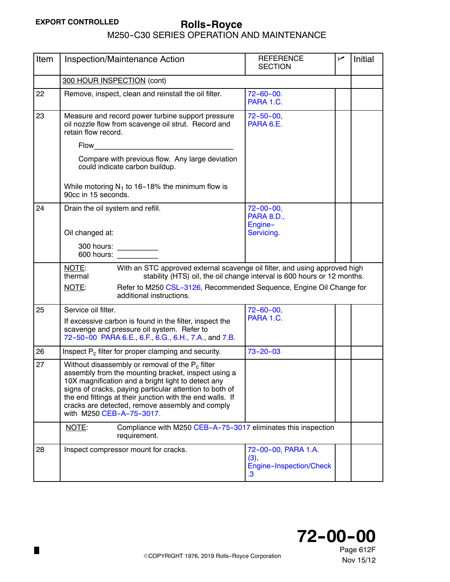| Item | Inspection/Maintenance Action                                                                                                                                                                                                                                                                                                                                                   | <b>REFERENCE</b><br><b>SECTION</b>                           | سما | Initial |  |  |
|------|---------------------------------------------------------------------------------------------------------------------------------------------------------------------------------------------------------------------------------------------------------------------------------------------------------------------------------------------------------------------------------|--------------------------------------------------------------|-----|---------|--|--|
|      | 300 HOUR INSPECTION (cont)                                                                                                                                                                                                                                                                                                                                                      |                                                              |     |         |  |  |
| 22   | Remove, inspect, clean and reinstall the oil filter.                                                                                                                                                                                                                                                                                                                            | $72 - 60 - 00.$<br>PARA 1.C.                                 |     |         |  |  |
| 23   | Measure and record power turbine support pressure<br>oil nozzle flow from scavenge oil strut. Record and<br>retain flow record.                                                                                                                                                                                                                                                 | $72 - 50 - 00$ ,<br>PARA 6.E.                                |     |         |  |  |
|      | Flow                                                                                                                                                                                                                                                                                                                                                                            |                                                              |     |         |  |  |
|      | Compare with previous flow. Any large deviation<br>could indicate carbon buildup.                                                                                                                                                                                                                                                                                               |                                                              |     |         |  |  |
|      | While motoring $N_1$ to 16-18% the minimum flow is<br>90cc in 15 seconds.                                                                                                                                                                                                                                                                                                       |                                                              |     |         |  |  |
| 24   | Drain the oil system and refill.                                                                                                                                                                                                                                                                                                                                                | $72 - 00 - 00$ ,<br><b>PARA 8.D.,</b><br>Engine-             |     |         |  |  |
|      | Oil changed at:                                                                                                                                                                                                                                                                                                                                                                 | Servicing.                                                   |     |         |  |  |
|      | 300 hours: __________<br>600 hours:                                                                                                                                                                                                                                                                                                                                             |                                                              |     |         |  |  |
|      | NOTE:<br>With an STC approved external scavenge oil filter, and using approved high<br>thermal<br>stability (HTS) oil, the oil change interval is 600 hours or 12 months.                                                                                                                                                                                                       |                                                              |     |         |  |  |
|      | NOTE:<br>Refer to M250 CSL-3126, Recommended Sequence, Engine Oil Change for<br>additional instructions.                                                                                                                                                                                                                                                                        |                                                              |     |         |  |  |
| 25   | Service oil filter.                                                                                                                                                                                                                                                                                                                                                             | $72 - 60 - 00$ ,                                             |     |         |  |  |
|      | If excessive carbon is found in the filter, inspect the<br>scavenge and pressure oil system. Refer to<br>72-50-00 PARA 6.E., 6.F., 6.G., 6.H., 7.A., and 7.B.                                                                                                                                                                                                                   | PARA 1.C.                                                    |     |         |  |  |
| 26   | Inspect $P_c$ filter for proper clamping and security.                                                                                                                                                                                                                                                                                                                          | $73 - 20 - 03$                                               |     |         |  |  |
| 27   | Without disassembly or removal of the P <sub>c</sub> filter<br>assembly from the mounting bracket, inspect using a<br>10X magnification and a bright light to detect any<br>signs of cracks, paying particular attention to both of<br>the end fittings at their junction with the end walls. If<br>cracks are detected, remove assembly and comply<br>with M250 CEB-A-75-3017. |                                                              |     |         |  |  |
|      | Compliance with M250 CEB-A-75-3017 eliminates this inspection<br>NOTE:<br>requirement.                                                                                                                                                                                                                                                                                          |                                                              |     |         |  |  |
| 28   | Inspect compressor mount for cracks.                                                                                                                                                                                                                                                                                                                                            | 72-00-00, PARA 1.A.<br>(3),<br>Engine-Inspection/Check<br>.3 |     |         |  |  |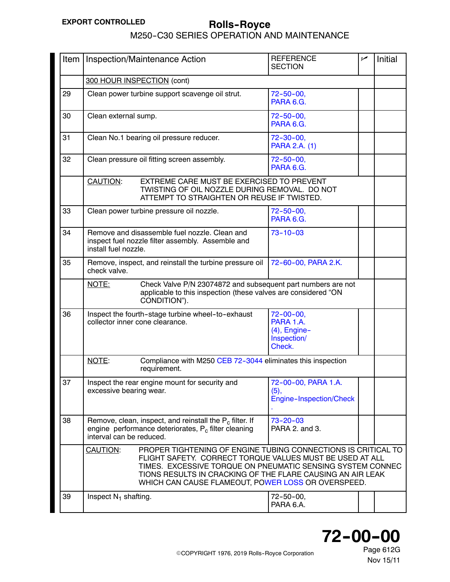# <span id="page-13-0"></span>**Rolls--Royce EXPORT CONTROLLED** M250-C30 SERIES OPERATION AND MAINTENANCE

| Item |                                                                                                                                                                                                                                                                                                                         | Inspection/Maintenance Action                                                                                                 | <b>REFERENCE</b><br><b>SECTION</b>                                        | مما | Initial |
|------|-------------------------------------------------------------------------------------------------------------------------------------------------------------------------------------------------------------------------------------------------------------------------------------------------------------------------|-------------------------------------------------------------------------------------------------------------------------------|---------------------------------------------------------------------------|-----|---------|
|      | 300 HOUR INSPECTION (cont)                                                                                                                                                                                                                                                                                              |                                                                                                                               |                                                                           |     |         |
| 29   |                                                                                                                                                                                                                                                                                                                         | Clean power turbine support scavenge oil strut.                                                                               | $72 - 50 - 00$ ,<br>PARA 6.G.                                             |     |         |
| 30   | Clean external sump.                                                                                                                                                                                                                                                                                                    |                                                                                                                               | $72 - 50 - 00$ ,<br>PARA 6.G.                                             |     |         |
| 31   | Clean No.1 bearing oil pressure reducer.                                                                                                                                                                                                                                                                                |                                                                                                                               | $72 - 30 - 00$<br>PARA 2.A. (1)                                           |     |         |
| 32   |                                                                                                                                                                                                                                                                                                                         | Clean pressure oil fitting screen assembly.                                                                                   | $72 - 50 - 00$ ,<br>PARA 6.G.                                             |     |         |
|      | EXTREME CARE MUST BE EXERCISED TO PREVENT<br><b>CAUTION:</b><br>TWISTING OF OIL NOZZLE DURING REMOVAL. DO NOT<br>ATTEMPT TO STRAIGHTEN OR REUSE IF TWISTED.                                                                                                                                                             |                                                                                                                               |                                                                           |     |         |
| 33   |                                                                                                                                                                                                                                                                                                                         | Clean power turbine pressure oil nozzle.                                                                                      | $72 - 50 - 00$ ,<br>PARA 6.G.                                             |     |         |
| 34   | Remove and disassemble fuel nozzle. Clean and<br>$73 - 10 - 03$<br>inspect fuel nozzle filter assembly. Assemble and<br>install fuel nozzle.                                                                                                                                                                            |                                                                                                                               |                                                                           |     |         |
| 35   | Remove, inspect, and reinstall the turbine pressure oil<br>72-60-00, PARA 2.K.<br>check valve.                                                                                                                                                                                                                          |                                                                                                                               |                                                                           |     |         |
|      | Check Valve P/N 23074872 and subsequent part numbers are not<br>NOTE:<br>applicable to this inspection (these valves are considered "ON<br>CONDITION").                                                                                                                                                                 |                                                                                                                               |                                                                           |     |         |
| 36   | Inspect the fourth-stage turbine wheel-to-exhaust<br>collector inner cone clearance.                                                                                                                                                                                                                                    |                                                                                                                               | $72 - 00 - 00$ ,<br>PARA 1.A.<br>$(4)$ , Engine-<br>Inspection/<br>Check. |     |         |
|      | NOTE:<br>Compliance with M250 CEB 72-3044 eliminates this inspection<br>requirement.                                                                                                                                                                                                                                    |                                                                                                                               |                                                                           |     |         |
| 37   | excessive bearing wear.                                                                                                                                                                                                                                                                                                 | Inspect the rear engine mount for security and                                                                                | 72-00-00, PARA 1.A.<br>(5),<br>Engine-Inspection/Check                    |     |         |
| 38   | interval can be reduced.                                                                                                                                                                                                                                                                                                | Remove, clean, inspect, and reinstall the $P_c$ filter. If<br>engine performance deteriorates, P <sub>c</sub> filter cleaning | $73 - 20 - 03$<br>PARA 2. and 3.                                          |     |         |
|      | PROPER TIGHTENING OF ENGINE TUBING CONNECTIONS IS CRITICAL TO<br>CAUTION:<br>FLIGHT SAFETY. CORRECT TORQUE VALUES MUST BE USED AT ALL<br>TIMES. EXCESSIVE TORQUE ON PNEUMATIC SENSING SYSTEM CONNEC<br>TIONS RESULTS IN CRACKING OF THE FLARE CAUSING AN AIR LEAK<br>WHICH CAN CAUSE FLAMEOUT, POWER LOSS OR OVERSPEED. |                                                                                                                               |                                                                           |     |         |
| 39   | Inspect $N_1$ shafting.                                                                                                                                                                                                                                                                                                 |                                                                                                                               | $72 - 50 - 00$ ,<br>PARA 6.A.                                             |     |         |

# **72--00--00**

Page 612G Nov 15/11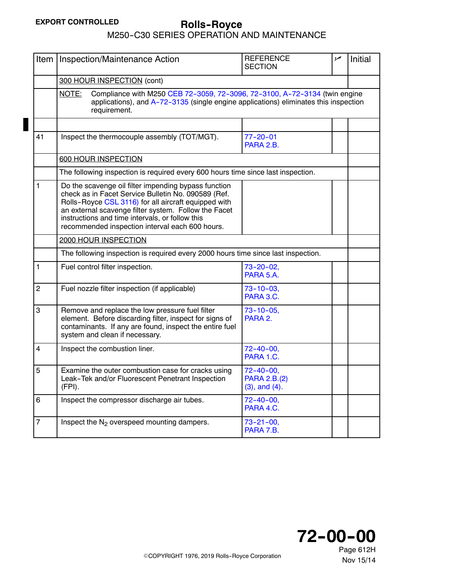<span id="page-14-0"></span>

| Item           | Inspection/Maintenance Action                                                                                                                                                                                                                                                                                                     | <b>REFERENCE</b><br><b>SECTION</b>                    | ممر | <b>Initial</b> |  |  |
|----------------|-----------------------------------------------------------------------------------------------------------------------------------------------------------------------------------------------------------------------------------------------------------------------------------------------------------------------------------|-------------------------------------------------------|-----|----------------|--|--|
|                | 300 HOUR INSPECTION (cont)                                                                                                                                                                                                                                                                                                        |                                                       |     |                |  |  |
|                | NOTE:<br>Compliance with M250 CEB 72-3059, 72-3096, 72-3100, A-72-3134 (twin engine<br>applications), and A-72-3135 (single engine applications) eliminates this inspection<br>requirement.                                                                                                                                       |                                                       |     |                |  |  |
|                |                                                                                                                                                                                                                                                                                                                                   |                                                       |     |                |  |  |
| 41             | Inspect the thermocouple assembly (TOT/MGT).                                                                                                                                                                                                                                                                                      | $77 - 20 - 01$<br>PARA 2.B.                           |     |                |  |  |
|                | 600 HOUR INSPECTION                                                                                                                                                                                                                                                                                                               |                                                       |     |                |  |  |
|                | The following inspection is required every 600 hours time since last inspection.                                                                                                                                                                                                                                                  |                                                       |     |                |  |  |
| 1              | Do the scavenge oil filter impending bypass function<br>check as in Facet Service Bulletin No. 090589 (Ref.<br>Rolls-Royce CSL 3116) for all aircraft equipped with<br>an external scavenge filter system. Follow the Facet<br>instructions and time intervals, or follow this<br>recommended inspection interval each 600 hours. |                                                       |     |                |  |  |
|                | 2000 HOUR INSPECTION                                                                                                                                                                                                                                                                                                              |                                                       |     |                |  |  |
|                | The following inspection is required every 2000 hours time since last inspection.                                                                                                                                                                                                                                                 |                                                       |     |                |  |  |
| 1              | Fuel control filter inspection.                                                                                                                                                                                                                                                                                                   | $73 - 20 - 02$ ,<br>PARA 5.A.                         |     |                |  |  |
| $\overline{2}$ | Fuel nozzle filter inspection (if applicable)                                                                                                                                                                                                                                                                                     | $73 - 10 - 03$ ,<br>PARA 3.C.                         |     |                |  |  |
| 3              | Remove and replace the low pressure fuel filter<br>element. Before discarding filter, inspect for signs of<br>contaminants. If any are found, inspect the entire fuel<br>system and clean if necessary.                                                                                                                           | $73 - 10 - 05$ ,<br>PARA 2.                           |     |                |  |  |
| 4              | Inspect the combustion liner.                                                                                                                                                                                                                                                                                                     | $72 - 40 - 00$ ,<br>PARA 1.C.                         |     |                |  |  |
| 5              | Examine the outer combustion case for cracks using<br>eak-Tek and/or Fluorescent Penetrant Inspection<br>(FPI).                                                                                                                                                                                                                   | $72 - 40 - 00$<br>PARA 2.B.(2)<br>$(3)$ , and $(4)$ . |     |                |  |  |
| 6              | Inspect the compressor discharge air tubes.                                                                                                                                                                                                                                                                                       | $72 - 40 - 00$ ,<br>PARA 4.C.                         |     |                |  |  |
| $\overline{7}$ | Inspect the N <sub>2</sub> overspeed mounting dampers.                                                                                                                                                                                                                                                                            | $73 - 21 - 00$ ,<br>PARA 7.B.                         |     |                |  |  |